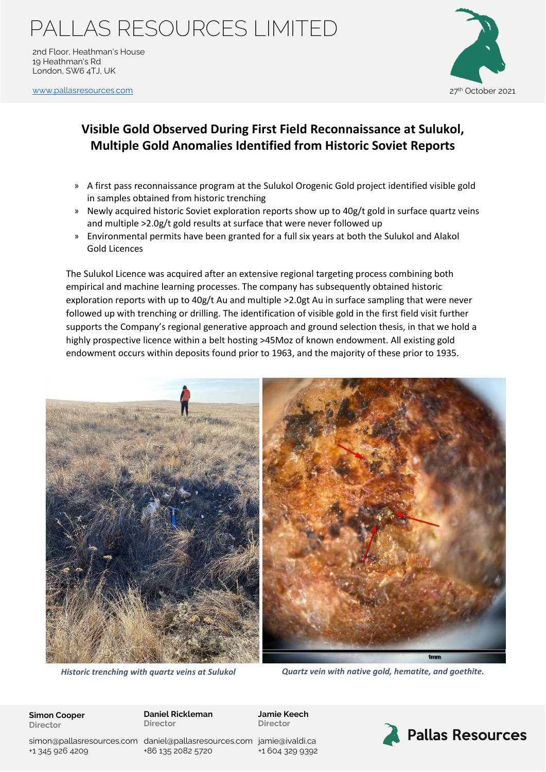### PALLAS RESOURCES LIMITED

2nd Floor, Heathman's House 19 Heathman's Rd London, SW6 4TJ, UK

[www.pallasresources.com](https://www.pallasresources.com/) 27th October 2021 27th October 2021



### **Visible Gold Observed During First Field Reconnaissance at Sulukol, Multiple Gold Anomalies Identified from Historic Soviet Reports**

- » A first pass reconnaissance program at the Sulukol Orogenic Gold project identified visible gold in samples obtained from historic trenching
- » Newly acquired historic Soviet exploration reports show up to 40g/t gold in surface quartz veins and multiple >2.0g/t gold results at surface that were never followed up
- » Environmental permits have been granted for a full six years at both the Sulukol and Alakol Gold Licences

The Sulukol Licence was acquired after an extensive regional targeting process combining both empirical and machine learning processes. The company has subsequently obtained historic exploration reports with up to 40g/t Au and multiple >2.0gt Au in surface sampling that were never followed up with trenching or drilling. The identification of visible gold in the first field visit further supports the Company's regional generative approach and ground selection thesis, in that we hold a highly prospective licence within a belt hosting >45Moz of known endowment. All existing gold endowment occurs within deposits found prior to 1963, and the majority of these prior to 1935.



*Historic trenching with quartz veins at Sulukol Quartz vein with native gold, hematite, and goethite.*

**Simon Cooper Director**

**Daniel Rickleman Director**

**Jamie Keech Director**

simon@pallasresources.com [daniel@pallasresources.com](mailto:daniel@pallasresources.com) [jamie@iv](mailto:jamie@pallasresources.com)aldi.ca +1 345 926 4209

+86 135 2082 5720

+1 604 329 9392

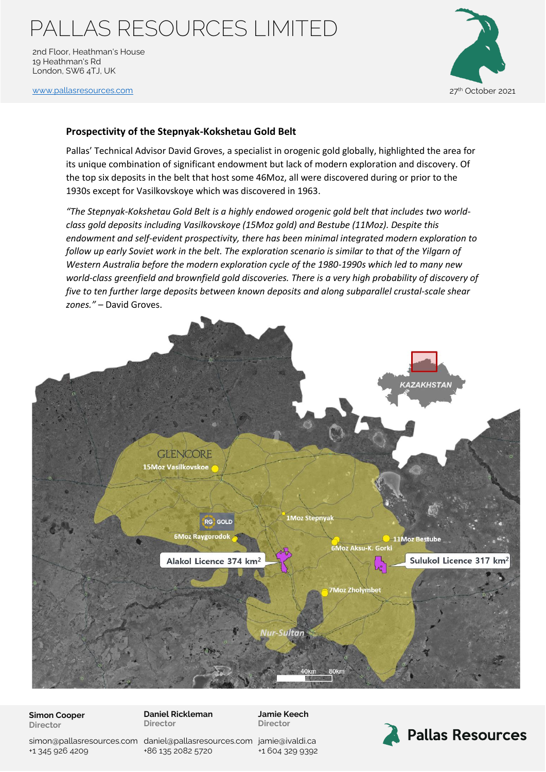# PALLAS RESOURCES LIMITED

2nd Floor, Heathman's House 19 Heathman's Rd London, SW6 4TJ, UK

[www.pallasresources.com](https://www.pallasresources.com/) 27<sup>th</sup> October 2021



### **Prospectivity of the Stepnyak-Kokshetau Gold Belt**

Pallas' Technical Advisor David Groves, a specialist in orogenic gold globally, highlighted the area for its unique combination of significant endowment but lack of modern exploration and discovery. Of the top six deposits in the belt that host some 46Moz, all were discovered during or prior to the 1930s except for Vasilkovskoye which was discovered in 1963.

*"The Stepnyak-Kokshetau Gold Belt is a highly endowed orogenic gold belt that includes two worldclass gold deposits including Vasilkovskoye (15Moz gold) and Bestube (11Moz). Despite this endowment and self-evident prospectivity, there has been minimal integrated modern exploration to*  follow up early Soviet work in the belt. The exploration scenario is similar to that of the Yilgarn of *Western Australia before the modern exploration cycle of the 1980-1990s which led to many new world-class greenfield and brownfield gold discoveries. There is a very high probability of discovery of five to ten further large deposits between known deposits and along subparallel crustal-scale shear zones."* – David Groves.



#### **Simon Cooper Director**

**Daniel Rickleman Director**

**Jamie Keech Director**

simon@pallasresources.com [daniel@pallasresources.com](mailto:daniel@pallasresources.com) [jamie@iv](mailto:jamie@pallasresources.com)aldi.ca +1 345 926 4209

+86 135 2082 5720

+1 604 329 9392